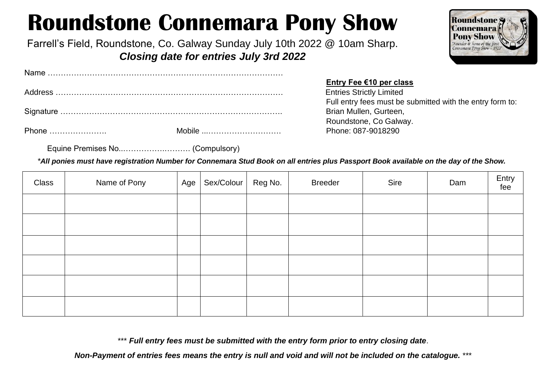# **Roundstone Connemara Pony Show**

Farrell's Field, Roundstone, Co. Galway Sunday July 10th 2022 @ 10am Sharp. *Closing date for entries July 3rd 2022*



**Entry Fee €10 per class** Full entry fees must be submitted with the entry form to: Roundstone, Co Galway.

Equine Premises No..…………….………. (Compulsory)

*\*All ponies must have registration Number for Connemara Stud Book on all entries plus Passport Book available on the day of the Show.*

| Class | Name of Pony | Age $ $ | Sex/Colour   Reg No. | <b>Breeder</b> | Sire | Dam | Entry<br>fee |
|-------|--------------|---------|----------------------|----------------|------|-----|--------------|
|       |              |         |                      |                |      |     |              |
|       |              |         |                      |                |      |     |              |
|       |              |         |                      |                |      |     |              |
|       |              |         |                      |                |      |     |              |
|       |              |         |                      |                |      |     |              |
|       |              |         |                      |                |      |     |              |

\*\*\* *Full entry fees must be submitted with the entry form prior to entry closing date*.

*Non-Payment of entries fees means the entry is null and void and will not be included on the catalogue.* \*\*\*